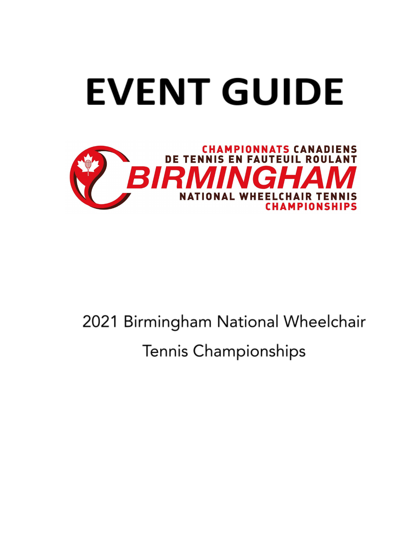

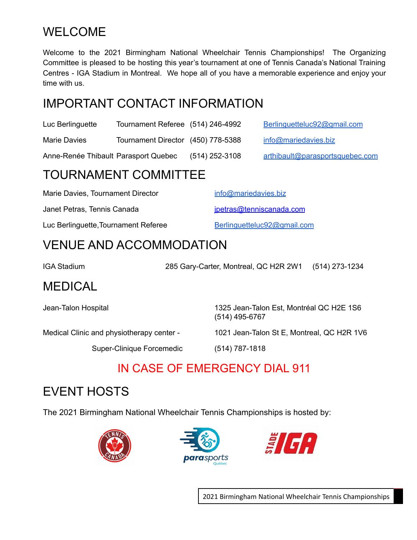## WELCOME

Welcome to the 2021 Birmingham National Wheelchair Tennis Championships! The Organizing Committee is pleased to be hosting this year's tournament at one of Tennis Canada's National Training Centres - IGA Stadium in Montreal. We hope all of you have a memorable experience and enjoy your time with us.

## IMPORTANT CONTACT INFORMATION

| Luc Berlinguette | Tournament Referee (514) 246-4992  | Berlinguetteluc92@gmail.com |
|------------------|------------------------------------|-----------------------------|
| Marie Davies     | Tournament Director (450) 778-5388 | info@mariedavies.biz        |

Anne-Renée Thibault Parasport Quebec (514) 252-3108 [arthibault@parasportsquebec.com](mailto:arthibault@parasportsquebec.com)

#### TOURNAMENT COMMITTEE

| Marie Davies, Tournament Director    | info@mariedavies.biz        |
|--------------------------------------|-----------------------------|
| Janet Petras, Tennis Canada          | jpetras@tenniscanada.com    |
| Luc Berlinguette, Tournament Referee | Berlinguetteluc92@gmail.com |

#### VENUE AND ACCOMMODATION

IGA Stadium 285 Gary-Carter, Montreal, QC H2R 2W1 (514) 273-1234 MEDICAL

Jean-Talon Hospital 1325 Jean-Talon Est, Montréal QC H2E 1S6 (514) 495-6767

Medical Clinic and physiotherapy center - 1021 Jean-Talon St E, Montreal, QC H2R 1V6

Super-Clinique Forcemedic (514) 787-1818

## IN CASE OF EMERGENCY DIAL 911

# EVENT HOSTS

The 2021 Birmingham National Wheelchair Tennis Championships is hosted by:





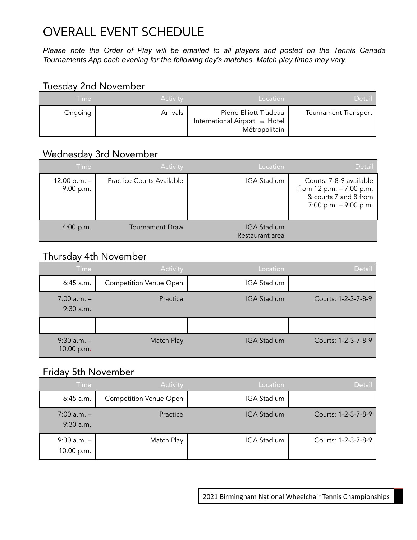# OVERALL EVENT SCHEDULE

*Please note the Order of Play will be emailed to all players and posted on the Tennis Canada Tournaments App each evening for the following day's matches. Match play times may vary.*

#### Tuesday 2nd November

| Time:   | Activity | Location                                                                 | <b>Detail</b>               |
|---------|----------|--------------------------------------------------------------------------|-----------------------------|
| Ongoing | Arrivals | Pierre Elliott Trudeau<br>International Airport ⇒ Hotel<br>Métropolitain | <b>Tournament Transport</b> |

#### Wednesday 3rd November

| Time                        | Activity                         | Location                              | Detail                                                                                                    |
|-----------------------------|----------------------------------|---------------------------------------|-----------------------------------------------------------------------------------------------------------|
| $12:00 p.m. -$<br>9:00 p.m. | <b>Practice Courts Available</b> | <b>IGA Stadium</b>                    | Courts: 7-8-9 available<br>from $12 p.m. - 7:00 p.m.$<br>& courts 7 and 8 from<br>7:00 p.m. $-$ 9:00 p.m. |
| 4:00 p.m.                   | <b>Tournament Draw</b>           | <b>IGA Stadium</b><br>Restaurant area |                                                                                                           |

#### Thursday 4th November

| <b>Time</b>                    | Activity                      | Location           | <b>Detail</b>       |
|--------------------------------|-------------------------------|--------------------|---------------------|
| $6:45$ a.m.                    | <b>Competition Venue Open</b> | <b>IGA Stadium</b> |                     |
| $7:00$ a.m. $-$<br>$9:30$ a.m. | Practice                      | <b>IGA Stadium</b> | Courts: 1-2-3-7-8-9 |
|                                |                               |                    |                     |
| $9:30$ a.m. $-$<br>10:00 p.m.  | Match Play                    | <b>IGA Stadium</b> | Courts: 1-2-3-7-8-9 |

#### **Friday 5th November**

| Time                           | Activity                      | Location           | Detail              |
|--------------------------------|-------------------------------|--------------------|---------------------|
| $6:45$ a.m.                    | <b>Competition Venue Open</b> | <b>IGA Stadium</b> |                     |
| $7:00$ a.m. $-$<br>$9:30$ a.m. | Practice                      | <b>IGA Stadium</b> | Courts: 1-2-3-7-8-9 |
| $9:30$ a.m. $-$<br>10:00 p.m.  | Match Play                    | <b>IGA Stadium</b> | Courts: 1-2-3-7-8-9 |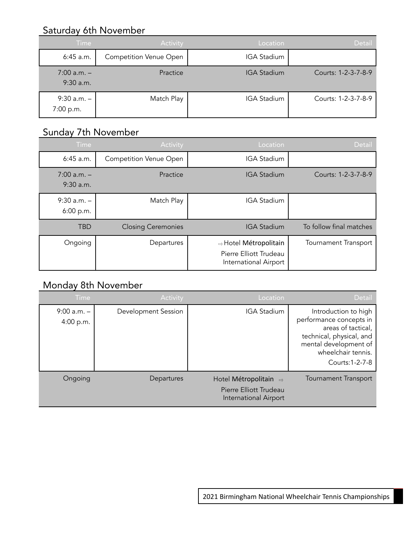#### **Saturday 6th November**

| Time                           | Activity                      | Location           | Detail              |
|--------------------------------|-------------------------------|--------------------|---------------------|
| $6:45$ a.m.                    | <b>Competition Venue Open</b> | <b>IGA Stadium</b> |                     |
| $7:00$ a.m. $-$<br>$9:30$ a.m. | Practice                      | <b>IGA Stadium</b> | Courts: 1-2-3-7-8-9 |
| $9:30$ a.m. $-$<br>7:00 p.m.   | Match Play                    | <b>IGA Stadium</b> | Courts: 1-2-3-7-8-9 |

#### Sunday 7th November

| <b>Time</b>                    | Activity                      | Location                                                                 | <b>Detail</b>               |
|--------------------------------|-------------------------------|--------------------------------------------------------------------------|-----------------------------|
| 6:45 a.m.                      | <b>Competition Venue Open</b> | <b>IGA Stadium</b>                                                       |                             |
| $7:00$ a.m. $-$<br>$9:30$ a.m. | Practice                      | <b>IGA Stadium</b>                                                       | Courts: 1-2-3-7-8-9         |
| $9:30$ a.m. $-$<br>6:00 p.m.   | Match Play                    | <b>IGA Stadium</b>                                                       |                             |
| <b>TBD</b>                     | <b>Closing Ceremonies</b>     | <b>IGA Stadium</b>                                                       | To follow final matches     |
| Ongoing                        | Departures                    | ⇒ Hotel Métropolitain<br>Pierre Elliott Trudeau<br>International Airport | <b>Tournament Transport</b> |

#### Monday 8th November

| <b>Time</b>                  | Activity            | Location                                                                 | Detail                                                                                                                                                              |
|------------------------------|---------------------|--------------------------------------------------------------------------|---------------------------------------------------------------------------------------------------------------------------------------------------------------------|
| $9:00$ a.m. $-$<br>4:00 p.m. | Development Session | <b>IGA Stadium</b>                                                       | Introduction to high<br>performance concepts in<br>areas of tactical,<br>technical, physical, and<br>mental development of<br>wheelchair tennis.<br>Courts: 1-2-7-8 |
| Ongoing                      | Departures          | Hotel Métropolitain ⇒<br>Pierre Elliott Trudeau<br>International Airport | <b>Tournament Transport</b>                                                                                                                                         |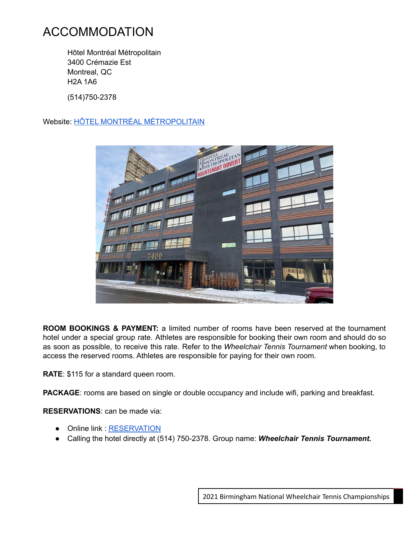#### ACCOMMODATION

Hôtel Montréal Métropolitain 3400 Crémazie Est Montreal, QC H2A 1A6 (514)750-2378

Website: HÔTEL MONTRÉAL [MÉTROPOLITAIN](https://www.bestwestern.com/en_US/book/hotel-rooms.67031.html?groupId=C77BG8E8)



**ROOM BOOKINGS & PAYMENT:** a limited number of rooms have been reserved at the tournament hotel under a special group rate. Athletes are responsible for booking their own room and should do so as soon as possible, to receive this rate. Refer to the *Wheelchair Tennis Tournament* when booking, to access the reserved rooms. Athletes are responsible for paying for their own room.

**RATE**: \$115 for a standard queen room.

**PACKAGE**: rooms are based on single or double occupancy and include wifi, parking and breakfast.

**RESERVATIONS**: can be made via:

- Online link : [RESERVATION](https://can01.safelinks.protection.outlook.com/?url=https%3A%2F%2Fwww.bestwestern.com%2Fen_US%2Fbook%2Fhotel-rooms.67031.html%3FgroupId%3DC77BG8E8&data=04%7C01%7Cjpetras%40tenniscanada.com%7Cdf63ffdc184e43188aae08d96d4a54ba%7Ccf1ac31edead4166bda1397774889855%7C0%7C0%7C637660988318833427%7CUnknown%7CTWFpbGZsb3d8eyJWIjoiMC4wLjAwMDAiLCJQIjoiV2luMzIiLCJBTiI6Ik1haWwiLCJXVCI6Mn0%3D%7C1000&sdata=x%2BmjuNiDMT1q11eNgby9zuL6p0Kb017sz7lakSMFmto%3D&reserved=0)
- Calling the hotel directly at (514) 750-2378. Group name: *Wheelchair Tennis Tournament.*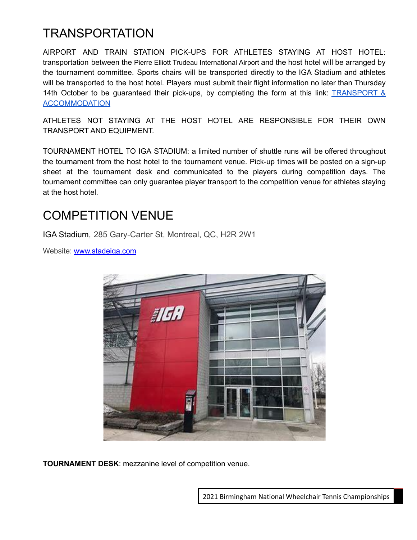## TRANSPORTATION

AIRPORT AND TRAIN STATION PICK-UPS FOR ATHLETES STAYING AT HOST HOTEL: transportation between the Pierre Elliott Trudeau International Airport and the host hotel will be arranged by the tournament committee. Sports chairs will be transported directly to the IGA Stadium and athletes will be transported to the host hotel. Players must submit their flight information no later than Thursday 14th October to be guaranteed their pick-ups, by completing the form at this link: **[TRANSPORT](https://docs.google.com/forms/d/e/1FAIpQLSes3PEiRm5oNF8SLkgkdm3MA6XGK7L7NMeFfOe5NxiFttbU6w/viewform?usp=sf_link) &** [ACCOMMODATION](https://docs.google.com/forms/d/e/1FAIpQLSes3PEiRm5oNF8SLkgkdm3MA6XGK7L7NMeFfOe5NxiFttbU6w/viewform?usp=sf_link)

ATHLETES NOT STAYING AT THE HOST HOTEL ARE RESPONSIBLE FOR THEIR OWN TRANSPORT AND EQUIPMENT.

TOURNAMENT HOTEL TO IGA STADIUM: a limited number of shuttle runs will be offered throughout the tournament from the host hotel to the tournament venue. Pick-up times will be posted on a sign-up sheet at the tournament desk and communicated to the players during competition days. The tournament committee can only guarantee player transport to the competition venue for athletes staying at the host hotel.

## COMPETITION VENUE

IGA Stadium, 285 Gary-Carter St, Montreal, QC, H2R 2W1

Website: [www.stadeiga.com](http://www.stadeiga.com)



**TOURNAMENT DESK**: mezzanine level of competition venue.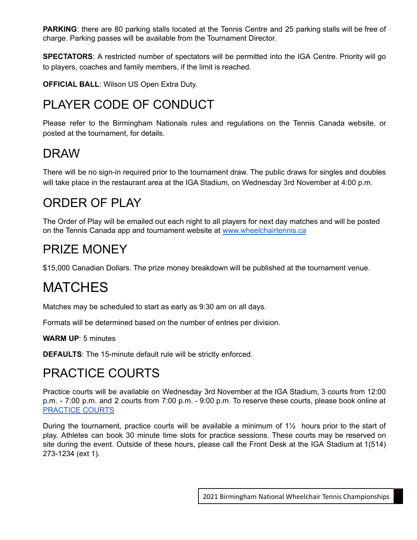**PARKING**: there are 80 parking stalls located at the Tennis Centre and 25 parking stalls will be free of charge. Parking passes will be available from the Tournament Director.

**SPECTATORS**: A restricted number of spectators will be permitted into the IGA Centre. Priority will go to players, coaches and family members, if the limit is reached.

**OFFICIAL BALL**: Wilson US Open Extra Duty.

# PLAYER CODE OF CONDUCT

Please refer to the Birmingham Nationals rules and regulations on the Tennis Canada website, or posted at the tournament, for details.

#### DRAW

There will be no sign-in required prior to the tournament draw. The public draws for singles and doubles will take place in the restaurant area at the IGA Stadium, on Wednesday 3rd November at 4:00 p.m.

## ORDER OF PLAY

The Order of Play will be emailed out each night to all players for next day matches and will be posted on the Tennis Canada app and tournament website at [www.wheelchairtennis.ca](http://www.wheelchairtennis.ca)

## PRIZE MONEY

\$15,000 Canadian Dollars. The prize money breakdown will be published at the tournament venue.

# MATCHES

Matches may be scheduled to start as early as 9:30 am on all days.

Formats will be determined based on the number of entries per division.

**WARM UP**: 5 minutes

**DEFAULTS**: The 15-minute default rule will be strictly enforced.

# PRACTICE COURTS

Practice courts will be available on Wednesday 3rd November at the IGA Stadium, 3 courts from 12:00 p.m. - 7:00 p.m. and 2 courts from 7:00 p.m. - 9:00 p.m. To reserve these courts, please book online at [PRACTICE](https://wheelchairtennis.ca/practice-courts) COURTS

During the tournament, practice courts will be available a minimum of 1½ hours prior to the start of play. Athletes can book 30 minute time slots for practice sessions. These courts may be reserved on site during the event. Outside of these hours, please call the Front Desk at the IGA Stadium at 1(514) 273-1234 (ext 1).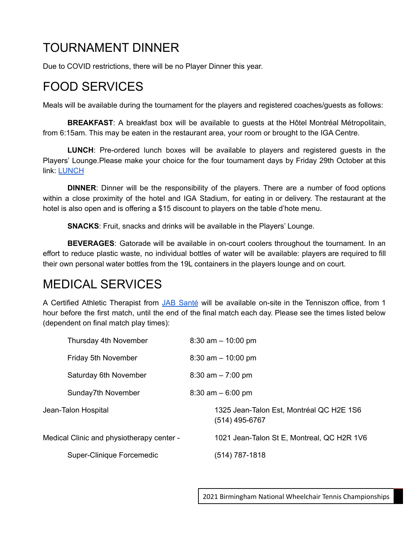# TOURNAMENT DINNER

Due to COVID restrictions, there will be no Player Dinner this year.

# FOOD SERVICES

Meals will be available during the tournament for the players and registered coaches/guests as follows:

**BREAKFAST**: A breakfast box will be available to guests at the Hôtel Montréal Métropolitain, from 6:15am. This may be eaten in the restaurant area, your room or brought to the IGA Centre.

**LUNCH**: Pre-ordered lunch boxes will be available to players and registered guests in the Players' Lounge.Please make your choice for the four tournament days by Friday 29th October at this link: [LUNCH](https://wheelchairtennis.ca/lunch%2Fd%C3%AEner)

**DINNER**: Dinner will be the responsibility of the players. There are a number of food options within a close proximity of the hotel and IGA Stadium, for eating in or delivery. The restaurant at the hotel is also open and is offering a \$15 discount to players on the table d'hote menu.

**SNACKS**: Fruit, snacks and drinks will be available in the Players' Lounge.

**BEVERAGES**: Gatorade will be available in on-court coolers throughout the tournament. In an effort to reduce plastic waste, no individual bottles of water will be available: players are required to fill their own personal water bottles from the 19L containers in the players lounge and on court.

## MEDICAL SERVICES

A Certified Athletic Therapist from JAB [Santé](https://www.jabsante.com/) will be available on-site in the Tenniszon office, from 1 hour before the first match, until the end of the final match each day. Please see the times listed below (dependent on final match play times):

| Thursday 4th November                     | $8:30$ am $-10:00$ pm                                      |
|-------------------------------------------|------------------------------------------------------------|
| Friday 5th November                       | $8:30$ am $-10:00$ pm                                      |
| Saturday 6th November                     | $8:30$ am $-7:00$ pm                                       |
| Sunday7th November                        | $8:30$ am $-6:00$ pm                                       |
| Jean-Talon Hospital                       | 1325 Jean-Talon Est, Montréal QC H2E 1S6<br>(514) 495-6767 |
| Medical Clinic and physiotherapy center - | 1021 Jean-Talon St E, Montreal, QC H2R 1V6                 |
| Super-Clinique Forcemedic                 | $(514) 787 - 1818$                                         |